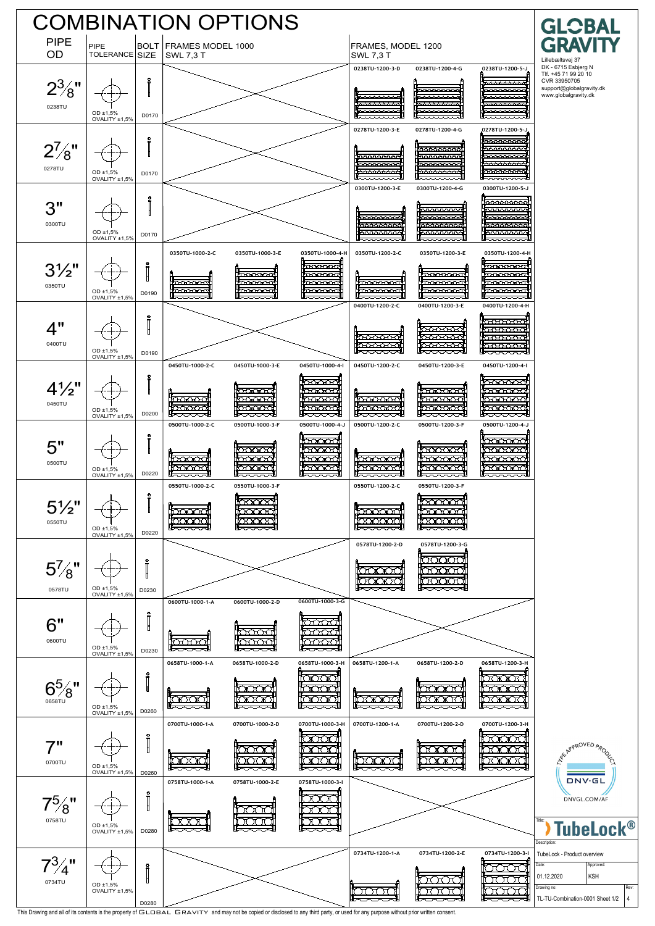

This Drawing and all of its contents is the property of GLOBAL GRAVITY and may not be copied or disclosed to any third party, or used for any purpose without prior written consent.